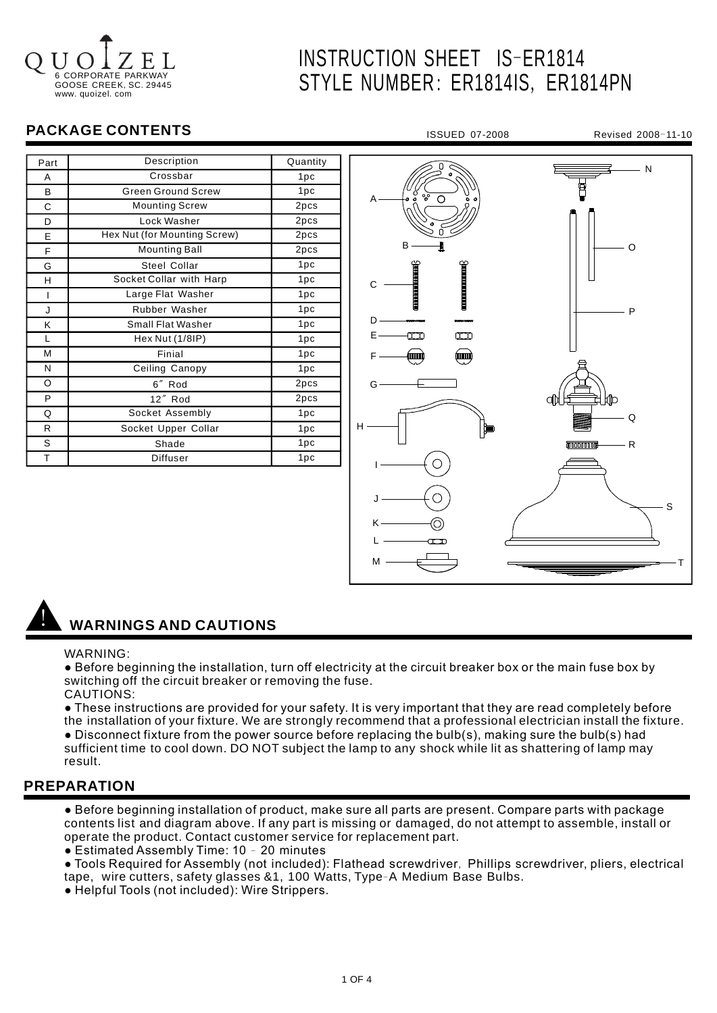# 6 CORPORATE GOOSE CREEK, SC. 29445 www. quoizel. com

# INSTRUCTION SHEET IS-ER1814 STYLE NUMBER: ER1814IS, ER1814PN

# **PACKAGE CONTENTS**

| Part | Description                  | Quantity |
|------|------------------------------|----------|
| A    | Crossbar                     | 1pc      |
| B    | <b>Green Ground Screw</b>    | 1pc      |
| С    | <b>Mounting Screw</b>        | 2pcs     |
| D    | Lock Washer                  | 2pcs     |
| E    | Hex Nut (for Mounting Screw) | 2pcs     |
| F    | <b>Mounting Ball</b>         | 2pcs     |
| G    | Steel Collar                 | 1pc      |
| н    | Socket Collar with Harp      | 1pc      |
| ı    | Large Flat Washer            | 1pc      |
| J    | Rubber Washer                | 1pc      |
| ĸ    | <b>Small Flat Washer</b>     | 1pc      |
| L    | Hex Nut (1/8IP)              | 1pc      |
| M    | Finial                       | 1pc      |
| N    | Ceiling Canopy               | 1pc      |
| O    | 6" Rod                       | 2pcs     |
| P    | 12" Rod                      | 2pcs     |
| Q    | Socket Assembly              | 1pc      |
| R.   | Socket Upper Collar          | 1pc      |
| S    | Shade                        | 1pc      |
| T    | Diffuser                     | 1pc      |



# ! **WARNINGS AND CAUTIONS**

#### WARNING:

● Before beginning the installation, turn off electricity at the circuit breaker box or the main fuse box by switching off the circuit breaker or removing the fuse. CAUTIONS:

● These instructions are provided for your safety. It is very important that they are read completely before the installation of your fixture. We are strongly recommend that a professional electrician install the fixture. ● Disconnect fixture from the power source before replacing the bulb(s), making sure the bulb(s) had sufficient time to cool down. DO NOT subject the lamp to any shock while lit as shattering of lamp may

# **PREPARATION**

result.

● Before beginning installation of product, make sure all parts are present. Compare parts with package contents list and diagram above. If any part is missing or damaged, do not attempt to assemble, install or operate the product. Contact customer service for replacement part.

• Estimated Assembly Time: 10 - 20 minutes

• Tools Required for Assembly (not included): Flathead screwdriver, Phillips screwdriver, pliers, electrical tape, wire cutters, safety glasses &1, 100 Watts, Type-A Medium Base Bulbs.

● Helpful Tools (not included): Wire Strippers.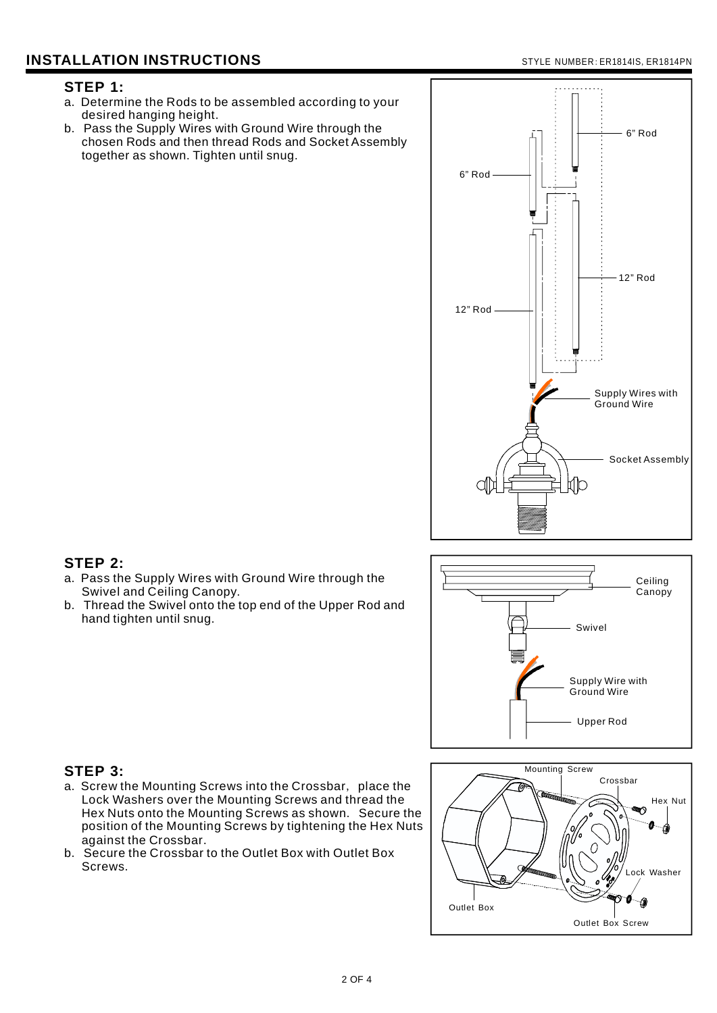# **INSTALLATION INSTRUCTIONS**

#### STYLE NUMBER: ER1814IS, ER1814PN

## **STEP 1:**

- a. Determine the Rods to be assembled according to your desired hanging height.
- b. Pass the Supply Wires with Ground Wire through the chosen Rods and then thread Rods and Socket Assembly together as shown. Tighten until snug.



# **STEP 2:**

- a. Pass the Supply Wires with Ground Wire through the Swivel and Ceiling Canopy.
- b. Thread the Swivel onto the top end of the Upper Rod and hand tighten until snug.



## **STEP 3:**

- a. Screw the Mounting Screws into the Crossbar, place the Lock Washers over the Mounting Screws and thread the Hex Nuts onto the Mounting Screws as shown. Secure the position of the Mounting Screws by tightening the Hex Nuts against the Crossbar .
- b. Secure the Crossbar to the Outlet Box with Outlet Box Screws .

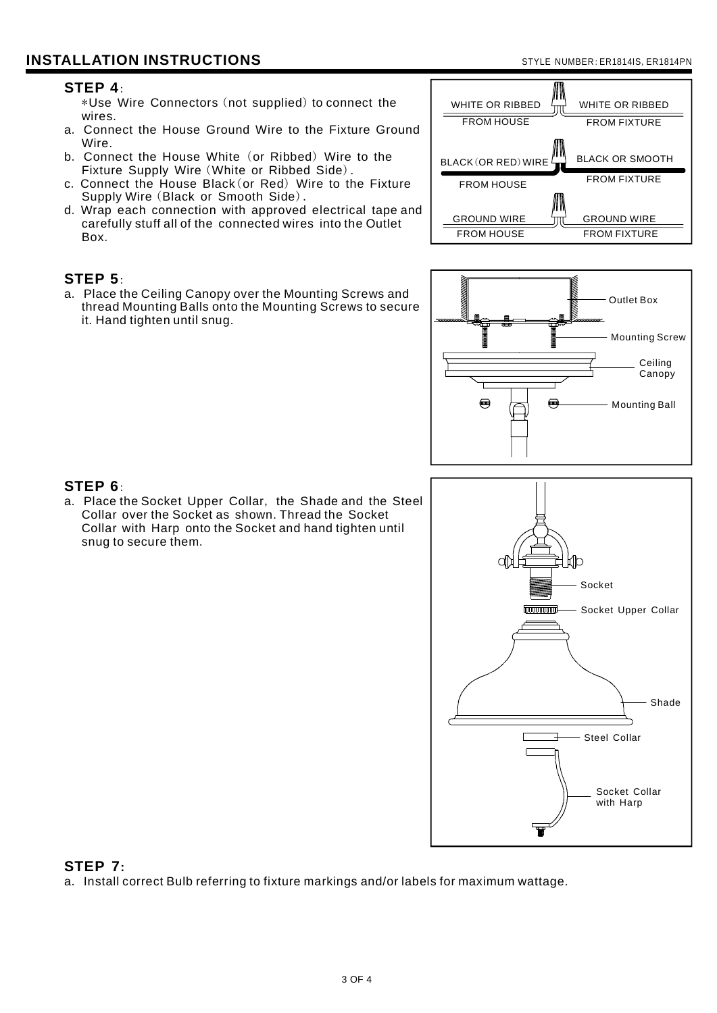### **STEP 4**:

\*Use Wire Connectors (not supplied) to connect the . wires

- a. Connect the House Ground Wire to the Fixture Ground Wire.
- b. Connect the House White (or Ribbed) Wire to the Fixture Supply Wire (White or Ribbed Side).
- c. Connect the House Black (or Red) Wire to the Fixture Supply Wire (Black or Smooth Side).
- d. Wrap each connection with approved electrical tape and . Box carefully stuff all of the connected wires into the Outlet

## **STEP 5**:

a. Place the Ceiling Canopy over the Mounting Screws and thread Mounting Balls onto the Mounting Screws to secure it. Hand tighten until snug.





# **STEP 6**:

a. Place the Socket Upper Collar, the Shade and the Steel Collar over the Socket as shown. Thread the Socket Collar with Harp onto the Socket and hand tighten until snug to secure them .



### **STEP 7:**

a. Install correct Bulb referring to fixture markings and/or labels for maximum wattage.